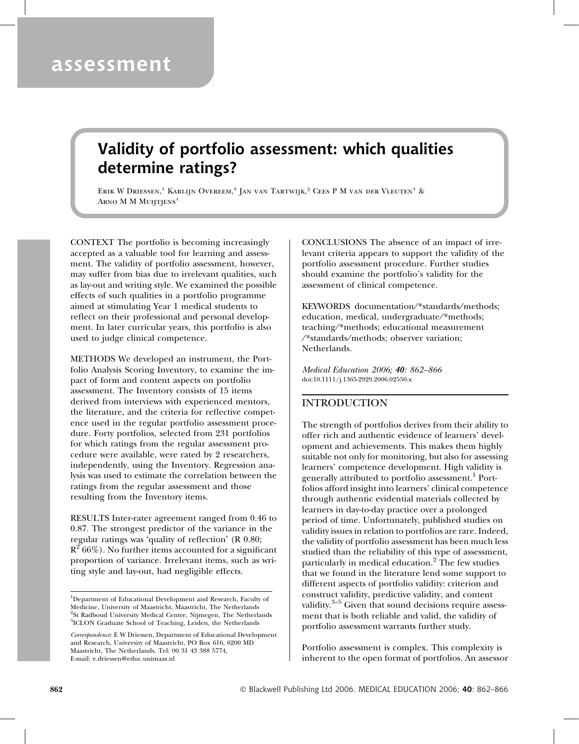# Validity of portfolio assessment: which qualities determine ratings?

ERIK W DRIESSEN,<sup>1</sup> KARLIJN OVEREEM,<sup>2</sup> JAN VAN TARTWIJK,<sup>3</sup> CEES P M VAN DER VLEUTEN<sup>1</sup> & ARNO M M MUIJTJENS<sup>1</sup>

CONTEXT The portfolio is becoming increasingly accepted as a valuable tool for learning and assessment. The validity of portfolio assessment, however, may suffer from bias due to irrelevant qualities, such as lay-out and writing style. We examined the possible effects of such qualities in a portfolio programme aimed at stimulating Year 1 medical students to reflect on their professional and personal development. In later curricular years, this portfolio is also used to judge clinical competence.

METHODS We developed an instrument, the Portfolio Analysis Scoring Inventory, to examine the impact of form and content aspects on portfolio assessment. The Inventory consists of 15 items derived from interviews with experienced mentors, the literature, and the criteria for reflective competence used in the regular portfolio assessment procedure. Forty portfolios, selected from 231 portfolios for which ratings from the regular assessment procedure were available, were rated by 2 researchers, independently, using the Inventory. Regression analysis was used to estimate the correlation between the ratings from the regular assessment and those resulting from the Inventory items.

RESULTS Inter-rater agreement ranged from 0.46 to 0.87. The strongest predictor of the variance in the regular ratings was 'quality of reflection' (R 0.80;  $R^2$  66%). No further items accounted for a significant proportion of variance. Irrelevant items, such as writing style and lay-out, had negligible effects.

Correspondence: E W Driessen, Department of Educational Development and Research, University of Maastricht, PO Box 616, 6200 MD Maastricht, The Netherlands. Tel: 00 31 43 388 5774, E-mail: e.driessen@educ.unimaas.nl

CONCLUSIONS The absence of an impact of irrelevant criteria appears to support the validity of the portfolio assessment procedure. Further studies should examine the portfolio's validity for the assessment of clinical competence.

KEYWORDS documentation/\*standards/methods; education, medical, undergraduate/\*methods; teaching/\*methods; educational measurement ⁄ \*standards⁄methods; observer variation; Netherlands.

Medical Education 2006; 40: 862–866 doi:10.1111/j.1365-2929.2006.02550.x

# INTRODUCTION

The strength of portfolios derives from their ability to offer rich and authentic evidence of learners' development and achievements. This makes them highly suitable not only for monitoring, but also for assessing learners' competence development. High validity is generally attributed to portfolio assessment.<sup>1</sup> Portfolios afford insight into learners' clinical competence through authentic evidential materials collected by learners in day-to-day practice over a prolonged period of time. Unfortunately, published studies on validity issues in relation to portfolios are rare. Indeed, the validity of portfolio assessment has been much less studied than the reliability of this type of assessment, particularly in medical education.<sup>2</sup> The few studies that we found in the literature lend some support to different aspects of portfolio validity: criterion and construct validity, predictive validity, and content validity. $3-5$  Given that sound decisions require assessment that is both reliable and valid, the validity of portfolio assessment warrants further study.

Portfolio assessment is complex. This complexity is inherent to the open format of portfolios. An assessor

<sup>&</sup>lt;sup>1</sup>Department of Educational Development and Research, Faculty of Medicine, University of Maastricht, Maastricht, The Netherlands <sup>2</sup>St Radboud University Medical Centre, Nijmegen, The Netherlands <sup>3</sup>ICLON Graduate School of Teaching, Leiden, the Netherlands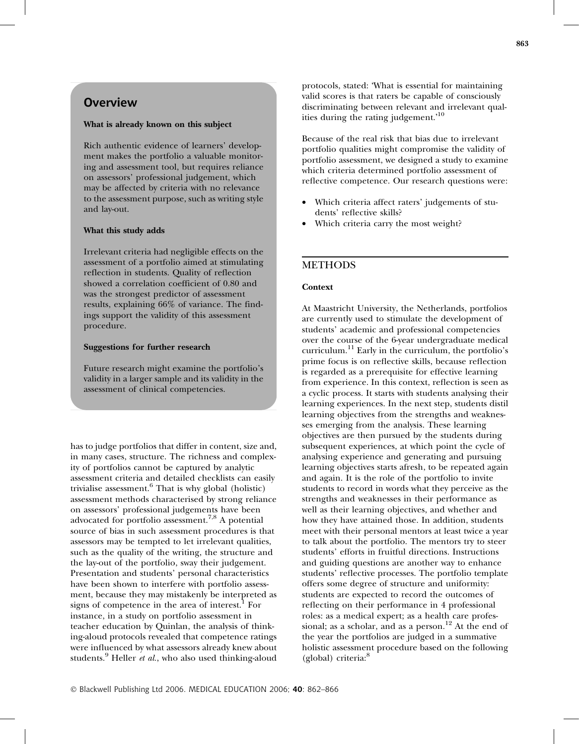# **Overview**

### What is already known on this subject

Rich authentic evidence of learners' development makes the portfolio a valuable monitoring and assessment tool, but requires reliance on assessors' professional judgement, which may be affected by criteria with no relevance to the assessment purpose, such as writing style and lay-out.

#### What this study adds

Irrelevant criteria had negligible effects on the assessment of a portfolio aimed at stimulating reflection in students. Quality of reflection showed a correlation coefficient of 0.80 and was the strongest predictor of assessment results, explaining 66% of variance. The findings support the validity of this assessment procedure.

#### Suggestions for further research

Future research might examine the portfolio's validity in a larger sample and its validity in the assessment of clinical competencies.

has to judge portfolios that differ in content, size and, in many cases, structure. The richness and complexity of portfolios cannot be captured by analytic assessment criteria and detailed checklists can easily trivialise assessment. $6$  That is why global (holistic) assessment methods characterised by strong reliance on assessors' professional judgements have been advocated for portfolio assessment.<sup>7,8</sup> A potential source of bias in such assessment procedures is that assessors may be tempted to let irrelevant qualities, such as the quality of the writing, the structure and the lay-out of the portfolio, sway their judgement. Presentation and students' personal characteristics have been shown to interfere with portfolio assessment, because they may mistakenly be interpreted as signs of competence in the area of interest. $<sup>1</sup>$  For</sup> instance, in a study on portfolio assessment in teacher education by Quinlan, the analysis of thinking-aloud protocols revealed that competence ratings were influenced by what assessors already knew about students. $9$  Heller *et al.*, who also used thinking-aloud

protocols, stated: 'What is essential for maintaining valid scores is that raters be capable of consciously discriminating between relevant and irrelevant qualities during the rating judgement.'<sup>10</sup>

Because of the real risk that bias due to irrelevant portfolio qualities might compromise the validity of portfolio assessment, we designed a study to examine which criteria determined portfolio assessment of reflective competence. Our research questions were:

- Which criteria affect raters' judgements of students' reflective skills?
- Which criteria carry the most weight?

# METHODS

### **Context**

At Maastricht University, the Netherlands, portfolios are currently used to stimulate the development of students' academic and professional competencies over the course of the 6-year undergraduate medical curriculum. $^{11}$  Early in the curriculum, the portfolio's prime focus is on reflective skills, because reflection is regarded as a prerequisite for effective learning from experience. In this context, reflection is seen as a cyclic process. It starts with students analysing their learning experiences. In the next step, students distil learning objectives from the strengths and weaknesses emerging from the analysis. These learning objectives are then pursued by the students during subsequent experiences, at which point the cycle of analysing experience and generating and pursuing learning objectives starts afresh, to be repeated again and again. It is the role of the portfolio to invite students to record in words what they perceive as the strengths and weaknesses in their performance as well as their learning objectives, and whether and how they have attained those. In addition, students meet with their personal mentors at least twice a year to talk about the portfolio. The mentors try to steer students' efforts in fruitful directions. Instructions and guiding questions are another way to enhance students' reflective processes. The portfolio template offers some degree of structure and uniformity: students are expected to record the outcomes of reflecting on their performance in 4 professional roles: as a medical expert; as a health care professional; as a scholar, and as a person.<sup>12</sup> At the end of the year the portfolios are judged in a summative holistic assessment procedure based on the following (global) criteria:<sup>8</sup>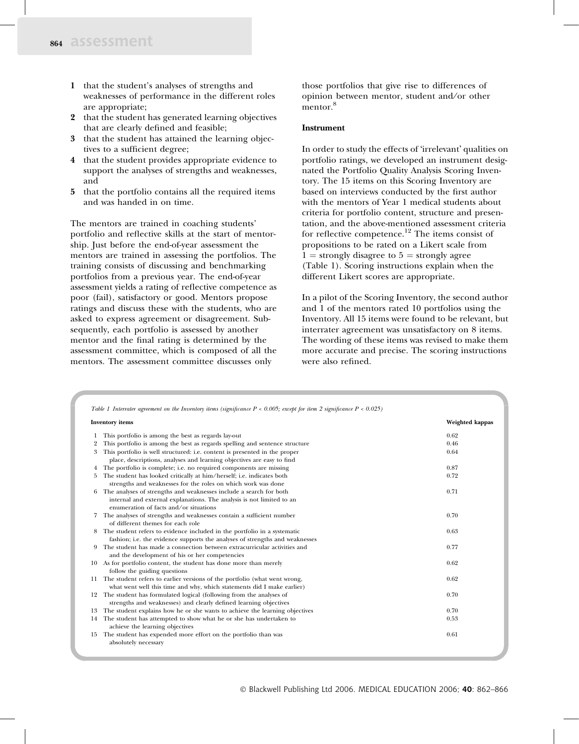- 1 that the student's analyses of strengths and weaknesses of performance in the different roles are appropriate;
- 2 that the student has generated learning objectives that are clearly defined and feasible;
- 3 that the student has attained the learning objectives to a sufficient degree;
- 4 that the student provides appropriate evidence to support the analyses of strengths and weaknesses, and
- 5 that the portfolio contains all the required items and was handed in on time.

The mentors are trained in coaching students' portfolio and reflective skills at the start of mentorship. Just before the end-of-year assessment the mentors are trained in assessing the portfolios. The training consists of discussing and benchmarking portfolios from a previous year. The end-of-year assessment yields a rating of reflective competence as poor (fail), satisfactory or good. Mentors propose ratings and discuss these with the students, who are asked to express agreement or disagreement. Subsequently, each portfolio is assessed by another mentor and the final rating is determined by the assessment committee, which is composed of all the mentors. The assessment committee discusses only

those portfolios that give rise to differences of opinion between mentor, student and⁄ or other mentor.<sup>8</sup>

### Instrument

In order to study the effects of 'irrelevant' qualities on portfolio ratings, we developed an instrument designated the Portfolio Quality Analysis Scoring Inventory. The 15 items on this Scoring Inventory are based on interviews conducted by the first author with the mentors of Year 1 medical students about criteria for portfolio content, structure and presentation, and the above-mentioned assessment criteria for reflective competence.<sup>12</sup> The items consist of propositions to be rated on a Likert scale from  $1 =$  strongly disagree to  $5 =$  strongly agree (Table 1). Scoring instructions explain when the different Likert scores are appropriate.

In a pilot of the Scoring Inventory, the second author and 1 of the mentors rated 10 portfolios using the Inventory. All 15 items were found to be relevant, but interrater agreement was unsatisfactory on 8 items. The wording of these items was revised to make them more accurate and precise. The scoring instructions were also refined.

|                | <b>Inventory</b> items                                                         | Weighted kappas |
|----------------|--------------------------------------------------------------------------------|-----------------|
| 1              | This portfolio is among the best as regards lay-out                            | 0.62            |
| $\overline{2}$ | This portfolio is among the best as regards spelling and sentence structure    | 0.46            |
| 3              | This portfolio is well structured: i.e. content is presented in the proper     | 0.64            |
|                | place, descriptions, analyses and learning objectives are easy to find         |                 |
| 4              | The portfolio is complete; i.e. no required components are missing             | 0.87            |
| 5              | The student has looked critically at him/herself; i.e. indicates both          | 0.72            |
|                | strengths and weaknesses for the roles on which work was done                  |                 |
| 6              | The analyses of strengths and weaknesses include a search for both             | 0.71            |
|                | internal and external explanations. The analysis is not limited to an          |                 |
|                | enumeration of facts and/or situations                                         |                 |
| 7              | The analyses of strengths and weaknesses contain a sufficient number           | 0.70            |
|                | of different themes for each role                                              |                 |
| 8              | The student refers to evidence included in the portfolio in a systematic       | 0.63            |
|                | fashion; i.e. the evidence supports the analyses of strengths and weaknesses   |                 |
| 9              | The student has made a connection between extracurricular activities and       | 0.77            |
|                | and the development of his or her competencies                                 |                 |
|                | 10 As for portfolio content, the student has done more than merely             | 0.62            |
|                | follow the guiding questions                                                   |                 |
|                | 11 The student refers to earlier versions of the portfolio (what went wrong,   | 0.62            |
|                | what went well this time and why, which statements did I make earlier)         |                 |
|                | 12 The student has formulated logical (following from the analyses of          | 0.70            |
|                | strengths and weaknesses) and clearly defined learning objectives              |                 |
|                | 13 The student explains how he or she wants to achieve the learning objectives | 0.70            |
| 14             | The student has attempted to show what he or she has undertaken to             | 0.53            |
|                | achieve the learning objectives                                                |                 |
| 15             | The student has expended more effort on the portfolio than was                 | 0.61            |
|                | absolutely necessary                                                           |                 |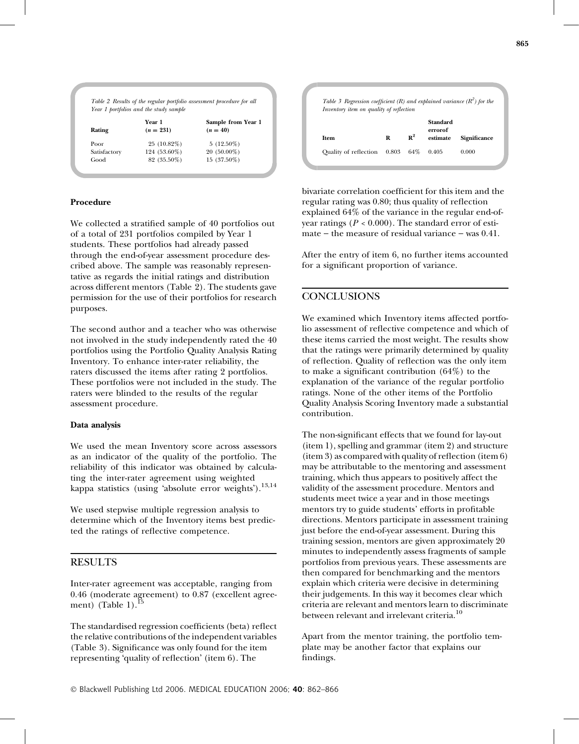|              | Year 1       | Sample from Year 1 |
|--------------|--------------|--------------------|
| Rating       | $(n = 231)$  | $(n = 40)$         |
| Poor         | 25 (10.82%)  | $5(12.50\%)$       |
| Satisfactory | 124 (53.60%) | $20(50.00\%)$      |
| Good         | 82 (35.50%)  | $15(37.50\%)$      |

#### Procedure

We collected a stratified sample of 40 portfolios out of a total of 231 portfolios compiled by Year 1 students. These portfolios had already passed through the end-of-year assessment procedure described above. The sample was reasonably representative as regards the initial ratings and distribution across different mentors (Table 2). The students gave permission for the use of their portfolios for research purposes.

The second author and a teacher who was otherwise not involved in the study independently rated the 40 portfolios using the Portfolio Quality Analysis Rating Inventory. To enhance inter-rater reliability, the raters discussed the items after rating 2 portfolios. These portfolios were not included in the study. The raters were blinded to the results of the regular assessment procedure.

#### Data analysis

We used the mean Inventory score across assessors as an indicator of the quality of the portfolio. The reliability of this indicator was obtained by calculating the inter-rater agreement using weighted kappa statistics (using 'absolute error weights').<sup>13,14</sup>

We used stepwise multiple regression analysis to determine which of the Inventory items best predicted the ratings of reflective competence.

#### **RESULTS**

Inter-rater agreement was acceptable, ranging from 0.46 (moderate agreement) to 0.87 (excellent agreement) (Table 1). $^{15}$ 

The standardised regression coefficients (beta) reflect the relative contributions of the independent variables (Table 3). Significance was only found for the item representing 'quality of reflection' (item 6). The

|                              | Inventory item on quality of reflection |                |                                 |              |
|------------------------------|-----------------------------------------|----------------|---------------------------------|--------------|
| <b>Item</b>                  | R                                       | $\mathbb{R}^2$ | Standard<br>errorof<br>estimate | Significance |
| <b>Ouality of reflection</b> | 0.803                                   | 64%            | 0.405                           | 0.000        |

bivariate correlation coefficient for this item and the regular rating was 0.80; thus quality of reflection explained 64% of the variance in the regular end-ofyear ratings ( $P < 0.000$ ). The standard error of estimate – the measure of residual variance – was  $0.41$ .

After the entry of item 6, no further items accounted for a significant proportion of variance.

# **CONCLUSIONS**

We examined which Inventory items affected portfolio assessment of reflective competence and which of these items carried the most weight. The results show that the ratings were primarily determined by quality of reflection. Quality of reflection was the only item to make a significant contribution  $(64%)$  to the explanation of the variance of the regular portfolio ratings. None of the other items of the Portfolio Quality Analysis Scoring Inventory made a substantial contribution.

The non-significant effects that we found for lay-out (item 1), spelling and grammar (item 2) and structure (item 3) as compared with quality of reflection (item 6) may be attributable to the mentoring and assessment training, which thus appears to positively affect the validity of the assessment procedure. Mentors and students meet twice a year and in those meetings mentors try to guide students' efforts in profitable directions. Mentors participate in assessment training just before the end-of-year assessment. During this training session, mentors are given approximately 20 minutes to independently assess fragments of sample portfolios from previous years. These assessments are then compared for benchmarking and the mentors explain which criteria were decisive in determining their judgements. In this way it becomes clear which criteria are relevant and mentors learn to discriminate between relevant and irrelevant criteria.<sup>10</sup>

Apart from the mentor training, the portfolio template may be another factor that explains our findings.